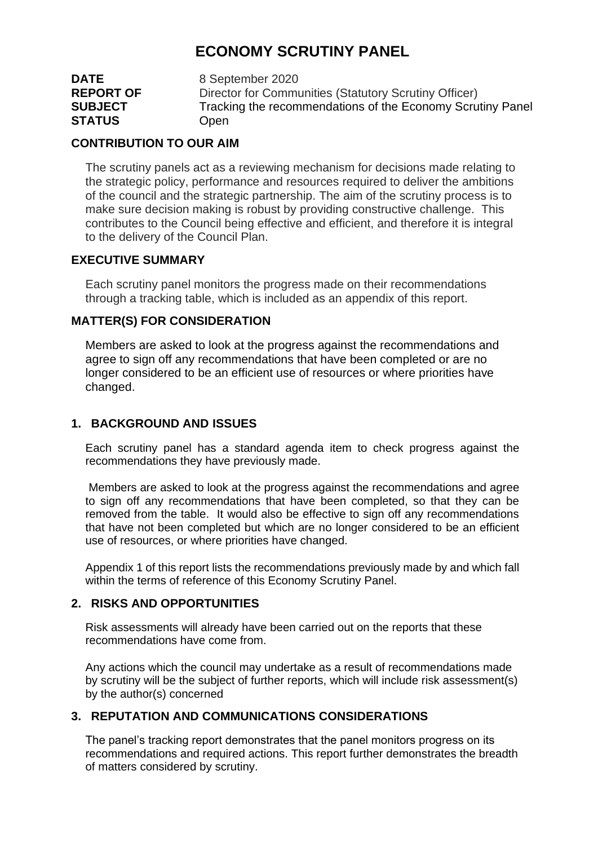# **ECONOMY SCRUTINY PANEL**

| <b>DATE</b>      | 8 September 2020                                           |
|------------------|------------------------------------------------------------|
| <b>REPORT OF</b> | Director for Communities (Statutory Scrutiny Officer)      |
| <b>SUBJECT</b>   | Tracking the recommendations of the Economy Scrutiny Panel |
| <b>STATUS</b>    | Open                                                       |

#### **CONTRIBUTION TO OUR AIM**

The scrutiny panels act as a reviewing mechanism for decisions made relating to the strategic policy, performance and resources required to deliver the ambitions of the council and the strategic partnership. The aim of the scrutiny process is to make sure decision making is robust by providing constructive challenge. This contributes to the Council being effective and efficient, and therefore it is integral to the delivery of the Council Plan.

## **EXECUTIVE SUMMARY**

Each scrutiny panel monitors the progress made on their recommendations through a tracking table, which is included as an appendix of this report.

## **MATTER(S) FOR CONSIDERATION**

Members are asked to look at the progress against the recommendations and agree to sign off any recommendations that have been completed or are no longer considered to be an efficient use of resources or where priorities have changed.

## **1. BACKGROUND AND ISSUES**

Each scrutiny panel has a standard agenda item to check progress against the recommendations they have previously made.

Members are asked to look at the progress against the recommendations and agree to sign off any recommendations that have been completed, so that they can be removed from the table. It would also be effective to sign off any recommendations that have not been completed but which are no longer considered to be an efficient use of resources, or where priorities have changed.

Appendix 1 of this report lists the recommendations previously made by and which fall within the terms of reference of this Economy Scrutiny Panel.

## **2. RISKS AND OPPORTUNITIES**

Risk assessments will already have been carried out on the reports that these recommendations have come from.

Any actions which the council may undertake as a result of recommendations made by scrutiny will be the subject of further reports, which will include risk assessment(s) by the author(s) concerned

## **3. REPUTATION AND COMMUNICATIONS CONSIDERATIONS**

The panel's tracking report demonstrates that the panel monitors progress on its recommendations and required actions. This report further demonstrates the breadth of matters considered by scrutiny.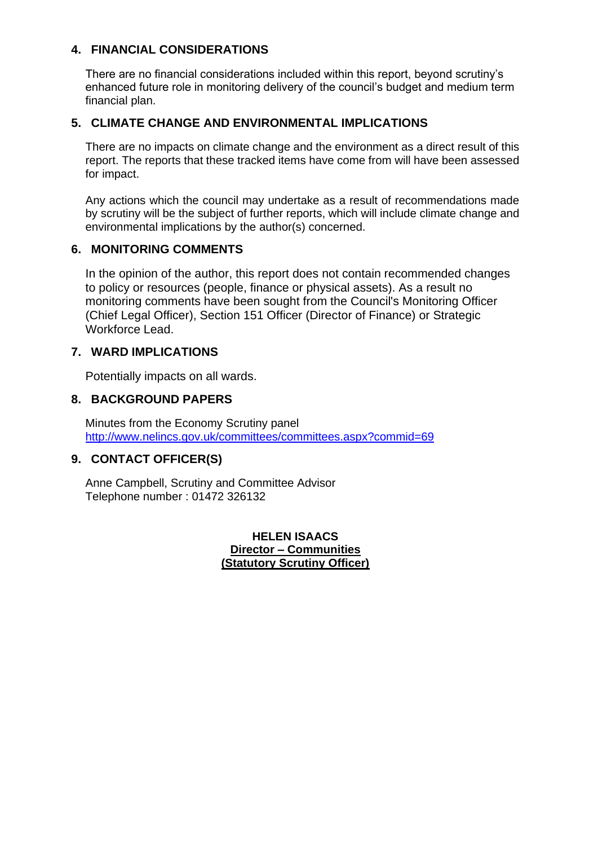## **4. FINANCIAL CONSIDERATIONS**

There are no financial considerations included within this report, beyond scrutiny's enhanced future role in monitoring delivery of the council's budget and medium term financial plan.

## **5. CLIMATE CHANGE AND ENVIRONMENTAL IMPLICATIONS**

There are no impacts on climate change and the environment as a direct result of this report. The reports that these tracked items have come from will have been assessed for impact.

Any actions which the council may undertake as a result of recommendations made by scrutiny will be the subject of further reports, which will include climate change and environmental implications by the author(s) concerned.

#### **6. MONITORING COMMENTS**

In the opinion of the author, this report does not contain recommended changes to policy or resources (people, finance or physical assets). As a result no monitoring comments have been sought from the Council's Monitoring Officer (Chief Legal Officer), Section 151 Officer (Director of Finance) or Strategic Workforce Lead.

## **7. WARD IMPLICATIONS**

Potentially impacts on all wards.

## **8. BACKGROUND PAPERS**

Minutes from the Economy Scrutiny panel <http://www.nelincs.gov.uk/committees/committees.aspx?commid=69>

## **9. CONTACT OFFICER(S)**

Anne Campbell, Scrutiny and Committee Advisor Telephone number : 01472 326132

> **HELEN ISAACS Director – Communities (Statutory Scrutiny Officer)**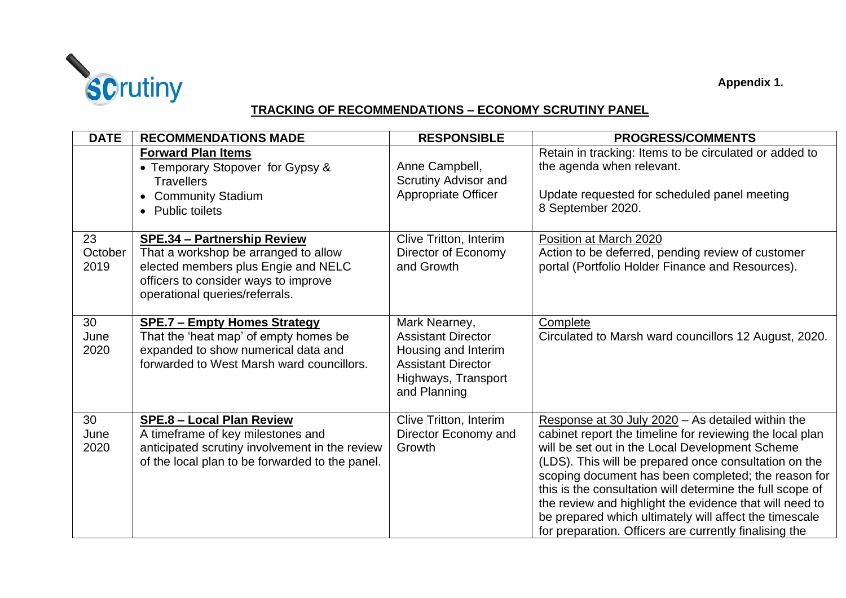

## **TRACKING OF RECOMMENDATIONS – ECONOMY SCRUTINY PANEL**

| <b>DATE</b>           | <b>RECOMMENDATIONS MADE</b>                                                                                                                                                                 | <b>RESPONSIBLE</b>                                                                                                                    | <b>PROGRESS/COMMENTS</b>                                                                                                                                                                                                                                                                                                                                                                                                                                                                                                     |
|-----------------------|---------------------------------------------------------------------------------------------------------------------------------------------------------------------------------------------|---------------------------------------------------------------------------------------------------------------------------------------|------------------------------------------------------------------------------------------------------------------------------------------------------------------------------------------------------------------------------------------------------------------------------------------------------------------------------------------------------------------------------------------------------------------------------------------------------------------------------------------------------------------------------|
|                       | <b>Forward Plan Items</b><br>• Temporary Stopover for Gypsy &<br><b>Travellers</b><br>• Community Stadium<br>• Public toilets                                                               | Anne Campbell,<br>Scrutiny Advisor and<br><b>Appropriate Officer</b>                                                                  | Retain in tracking: Items to be circulated or added to<br>the agenda when relevant.<br>Update requested for scheduled panel meeting<br>8 September 2020.                                                                                                                                                                                                                                                                                                                                                                     |
| 23<br>October<br>2019 | <b>SPE.34 - Partnership Review</b><br>That a workshop be arranged to allow<br>elected members plus Engie and NELC<br>officers to consider ways to improve<br>operational queries/referrals. | Clive Tritton, Interim<br>Director of Economy<br>and Growth                                                                           | Position at March 2020<br>Action to be deferred, pending review of customer<br>portal (Portfolio Holder Finance and Resources).                                                                                                                                                                                                                                                                                                                                                                                              |
| 30<br>June<br>2020    | <b>SPE.7 - Empty Homes Strategy</b><br>That the 'heat map' of empty homes be<br>expanded to show numerical data and<br>forwarded to West Marsh ward councillors.                            | Mark Nearney,<br><b>Assistant Director</b><br>Housing and Interim<br><b>Assistant Director</b><br>Highways, Transport<br>and Planning | Complete<br>Circulated to Marsh ward councillors 12 August, 2020.                                                                                                                                                                                                                                                                                                                                                                                                                                                            |
| 30<br>June<br>2020    | <b>SPE.8 - Local Plan Review</b><br>A timeframe of key milestones and<br>anticipated scrutiny involvement in the review<br>of the local plan to be forwarded to the panel.                  | Clive Tritton, Interim<br>Director Economy and<br>Growth                                                                              | Response at 30 July 2020 - As detailed within the<br>cabinet report the timeline for reviewing the local plan<br>will be set out in the Local Development Scheme<br>(LDS). This will be prepared once consultation on the<br>scoping document has been completed; the reason for<br>this is the consultation will determine the full scope of<br>the review and highlight the evidence that will need to<br>be prepared which ultimately will affect the timescale<br>for preparation. Officers are currently finalising the |

**Appendix 1.**